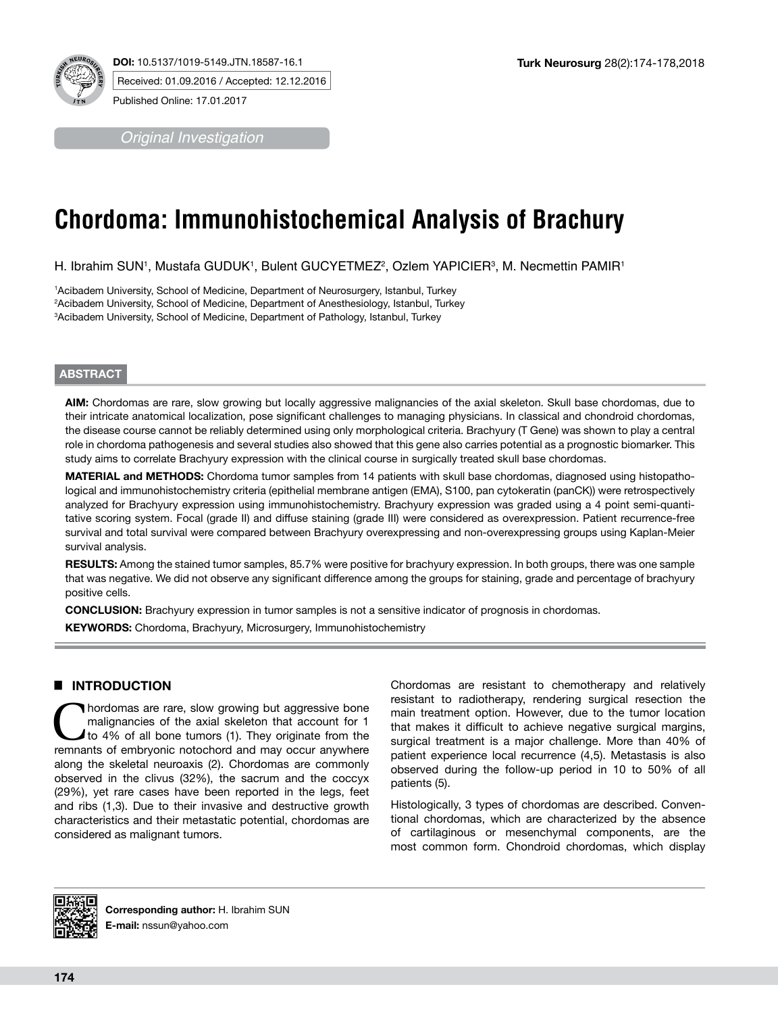

*Original Investigation*

# **Chordoma: Immunohistochemical Analysis of Brachury**

H. Ibrahim SUN', Mustafa GUDUK', Bulent GUCYETMEZ<del>'</del>, Ozlem YAPICIER<sup>3</sup>, M. Necmettin PAMIR'

1 Acibadem University, School of Medicine, Department of Neurosurgery, Istanbul, Turkey 2 Acibadem University, School of Medicine, Department of Anesthesiology, Istanbul, Turkey 3 Acibadem University, School of Medicine, Department of Pathology, Istanbul, Turkey

## **ABSTRACT**

**AIM:** Chordomas are rare, slow growing but locally aggressive malignancies of the axial skeleton. Skull base chordomas, due to their intricate anatomical localization, pose significant challenges to managing physicians. In classical and chondroid chordomas, the disease course cannot be reliably determined using only morphological criteria. Brachyury (T Gene) was shown to play a central role in chordoma pathogenesis and several studies also showed that this gene also carries potential as a prognostic biomarker. This study aims to correlate Brachyury expression with the clinical course in surgically treated skull base chordomas.

**MATERIAL and METHODS:** Chordoma tumor samples from 14 patients with skull base chordomas, diagnosed using histopathological and immunohistochemistry criteria (epithelial membrane antigen (EMA), S100, pan cytokeratin (panCK)) were retrospectively analyzed for Brachyury expression using immunohistochemistry. Brachyury expression was graded using a 4 point semi-quantitative scoring system. Focal (grade II) and diffuse staining (grade III) were considered as overexpression. Patient recurrence-free survival and total survival were compared between Brachyury overexpressing and non-overexpressing groups using Kaplan-Meier survival analysis.

**RESULTS:** Among the stained tumor samples, 85.7% were positive for brachyury expression. In both groups, there was one sample that was negative. We did not observe any significant difference among the groups for staining, grade and percentage of brachyury positive cells.

**CONCLUSION:** Brachyury expression in tumor samples is not a sensitive indicator of prognosis in chordomas.

**KEYWORDS:** Chordoma, Brachyury, Microsurgery, Immunohistochemistry

## █ **INTRODUCTION**

Inordomas are rare, slow growing but aggressive bone malignancies of the axial skeleton that account for 1 to 4% of all bone tumors (1). They originate from the remnants of embryonic notochord and may occur anywhere along the skeletal neuroaxis (2). Chordomas are commonly observed in the clivus (32%), the sacrum and the coccyx (29%), yet rare cases have been reported in the legs, feet and ribs (1,3). Due to their invasive and destructive growth characteristics and their metastatic potential, chordomas are considered as malignant tumors.

Chordomas are resistant to chemotherapy and relatively resistant to radiotherapy, rendering surgical resection the main treatment option. However, due to the tumor location that makes it difficult to achieve negative surgical margins, surgical treatment is a major challenge. More than 40% of patient experience local recurrence (4,5). Metastasis is also observed during the follow-up period in 10 to 50% of all patients (5).

Histologically, 3 types of chordomas are described. Conventional chordomas, which are characterized by the absence of cartilaginous or mesenchymal components, are the most common form. Chondroid chordomas, which display



**Corresponding author:** H. Ibrahim SUN **E-mail:** nssun@yahoo.com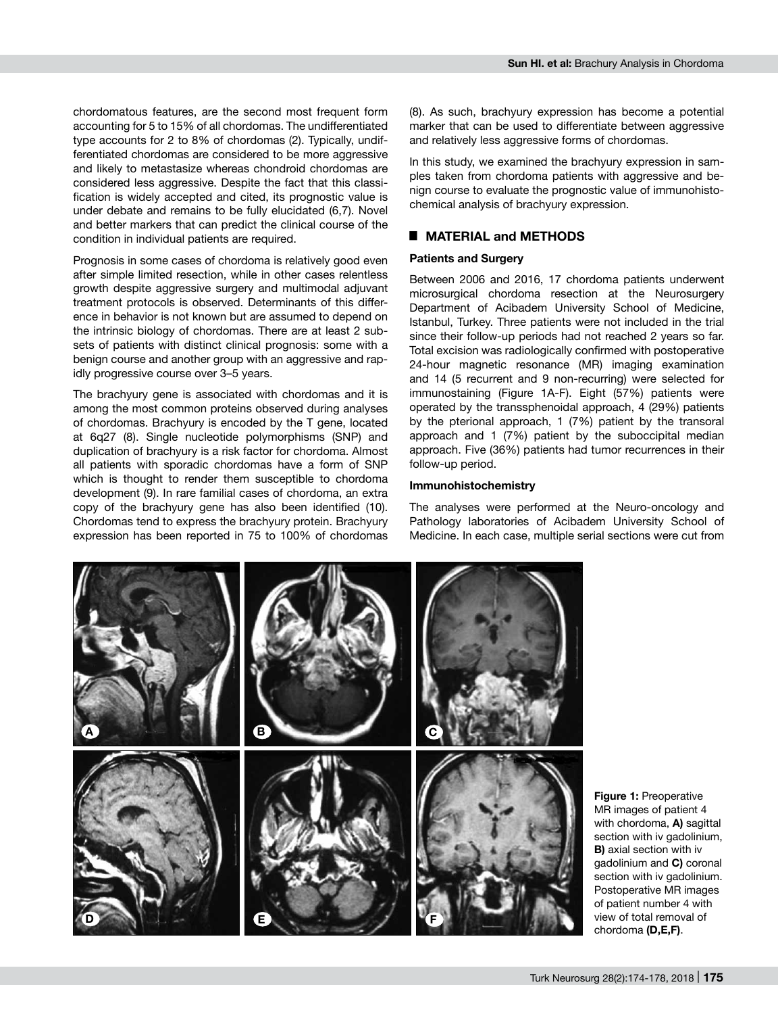chordomatous features, are the second most frequent form accounting for 5 to 15% of all chordomas. The undifferentiated type accounts for 2 to 8% of chordomas (2). Typically, undifferentiated chordomas are considered to be more aggressive and likely to metastasize whereas chondroid chordomas are considered less aggressive. Despite the fact that this classification is widely accepted and cited, its prognostic value is under debate and remains to be fully elucidated (6,7). Novel and better markers that can predict the clinical course of the condition in individual patients are required.

Prognosis in some cases of chordoma is relatively good even after simple limited resection, while in other cases relentless growth despite aggressive surgery and multimodal adjuvant treatment protocols is observed. Determinants of this difference in behavior is not known but are assumed to depend on the intrinsic biology of chordomas. There are at least 2 subsets of patients with distinct clinical prognosis: some with a benign course and another group with an aggressive and rapidly progressive course over 3–5 years.

The brachyury gene is associated with chordomas and it is among the most common proteins observed during analyses of chordomas. Brachyury is encoded by the T gene, located at 6q27 (8). Single nucleotide polymorphisms (SNP) and duplication of brachyury is a risk factor for chordoma. Almost all patients with sporadic chordomas have a form of SNP which is thought to render them susceptible to chordoma development (9). In rare familial cases of chordoma, an extra copy of the brachyury gene has also been identified (10). Chordomas tend to express the brachyury protein. Brachyury expression has been reported in 75 to 100% of chordomas

(8). As such, brachyury expression has become a potential marker that can be used to differentiate between aggressive and relatively less aggressive forms of chordomas.

In this study, we examined the brachyury expression in samples taken from chordoma patients with aggressive and benign course to evaluate the prognostic value of immunohistochemical analysis of brachyury expression.

## ■ **MATERIAL and METHODS**

## **Patients and Surgery**

Between 2006 and 2016, 17 chordoma patients underwent microsurgical chordoma resection at the Neurosurgery Department of Acibadem University School of Medicine, Istanbul, Turkey. Three patients were not included in the trial since their follow-up periods had not reached 2 years so far. Total excision was radiologically confirmed with postoperative 24-hour magnetic resonance (MR) imaging examination and 14 (5 recurrent and 9 non-recurring) were selected for immunostaining (Figure 1A-F). Eight (57%) patients were operated by the transsphenoidal approach, 4 (29%) patients by the pterional approach, 1 (7%) patient by the transoral approach and 1 (7%) patient by the suboccipital median approach. Five (36%) patients had tumor recurrences in their follow-up period.

#### **Immunohistochemistry**

The analyses were performed at the Neuro-oncology and Pathology laboratories of Acibadem University School of Medicine. In each case, multiple serial sections were cut from



**Figure 1: Preoperative** MR images of patient 4 with chordoma, **A)** sagittal section with iv gadolinium, **B)** axial section with iv gadolinium and **C)** coronal section with iv gadolinium. Postoperative MR images of patient number 4 with view of total removal of chordoma **(D,E,F)**.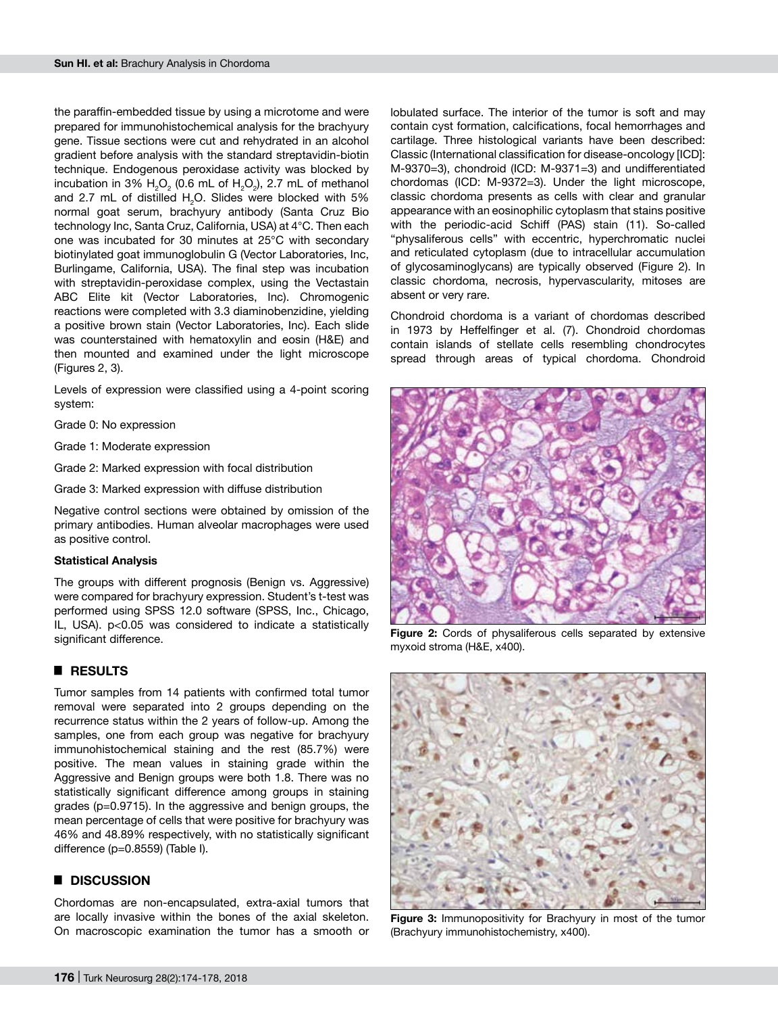the paraffin-embedded tissue by using a microtome and were prepared for immunohistochemical analysis for the brachyury gene. Tissue sections were cut and rehydrated in an alcohol gradient before analysis with the standard streptavidin-biotin technique. Endogenous peroxidase activity was blocked by incubation in 3%  $H_2O_2$  (0.6 mL of  $H_2O_2$ ), 2.7 mL of methanol and 2.7 mL of distilled  $H_2O$ . Slides were blocked with 5% normal goat serum, brachyury antibody (Santa Cruz Bio technology Inc, Santa Cruz, California, USA) at 4°C. Then each one was incubated for 30 minutes at 25°C with secondary biotinylated goat immunoglobulin G (Vector Laboratories, Inc, Burlingame, California, USA). The final step was incubation with streptavidin-peroxidase complex, using the Vectastain ABC Elite kit (Vector Laboratories, Inc). Chromogenic reactions were completed with 3.3 diaminobenzidine, yielding a positive brown stain (Vector Laboratories, Inc). Each slide was counterstained with hematoxylin and eosin (H&E) and then mounted and examined under the light microscope (Figures 2, 3).

Levels of expression were classified using a 4-point scoring system:

Grade 0: No expression

Grade 1: Moderate expression

Grade 2: Marked expression with focal distribution

Grade 3: Marked expression with diffuse distribution

Negative control sections were obtained by omission of the primary antibodies. Human alveolar macrophages were used as positive control.

#### **Statistical Analysis**

The groups with different prognosis (Benign vs. Aggressive) were compared for brachyury expression. Student's t-test was performed using SPSS 12.0 software (SPSS, Inc., Chicago, IL, USA). p<0.05 was considered to indicate a statistically significant difference.

## █ **RESULTS**

Tumor samples from 14 patients with confirmed total tumor removal were separated into 2 groups depending on the recurrence status within the 2 years of follow-up. Among the samples, one from each group was negative for brachyury immunohistochemical staining and the rest (85.7%) were positive. The mean values in staining grade within the Aggressive and Benign groups were both 1.8. There was no statistically significant difference among groups in staining grades (p=0.9715). In the aggressive and benign groups, the mean percentage of cells that were positive for brachyury was 46% and 48.89% respectively, with no statistically significant difference (p=0.8559) (Table I).

#### █ **DISCUSSION**

Chordomas are non-encapsulated, extra-axial tumors that are locally invasive within the bones of the axial skeleton. On macroscopic examination the tumor has a smooth or lobulated surface. The interior of the tumor is soft and may contain cyst formation, calcifications, focal hemorrhages and cartilage. Three histological variants have been described: Classic (International classification for disease-oncology [ICD]: M-9370=3), chondroid (ICD: M-9371=3) and undifferentiated chordomas (ICD: M-9372=3). Under the light microscope, classic chordoma presents as cells with clear and granular appearance with an eosinophilic cytoplasm that stains positive with the periodic-acid Schiff (PAS) stain (11). So-called "physaliferous cells" with eccentric, hyperchromatic nuclei and reticulated cytoplasm (due to intracellular accumulation of glycosaminoglycans) are typically observed (Figure 2). In classic chordoma, necrosis, hypervascularity, mitoses are absent or very rare.

Chondroid chordoma is a variant of chordomas described in 1973 by Heffelfinger et al. (7). Chondroid chordomas contain islands of stellate cells resembling chondrocytes spread through areas of typical chordoma. Chondroid



**Figure 2:** Cords of physaliferous cells separated by extensive myxoid stroma (H&E, x400).



**Figure 3:** Immunopositivity for Brachyury in most of the tumor (Brachyury immunohistochemistry, x400).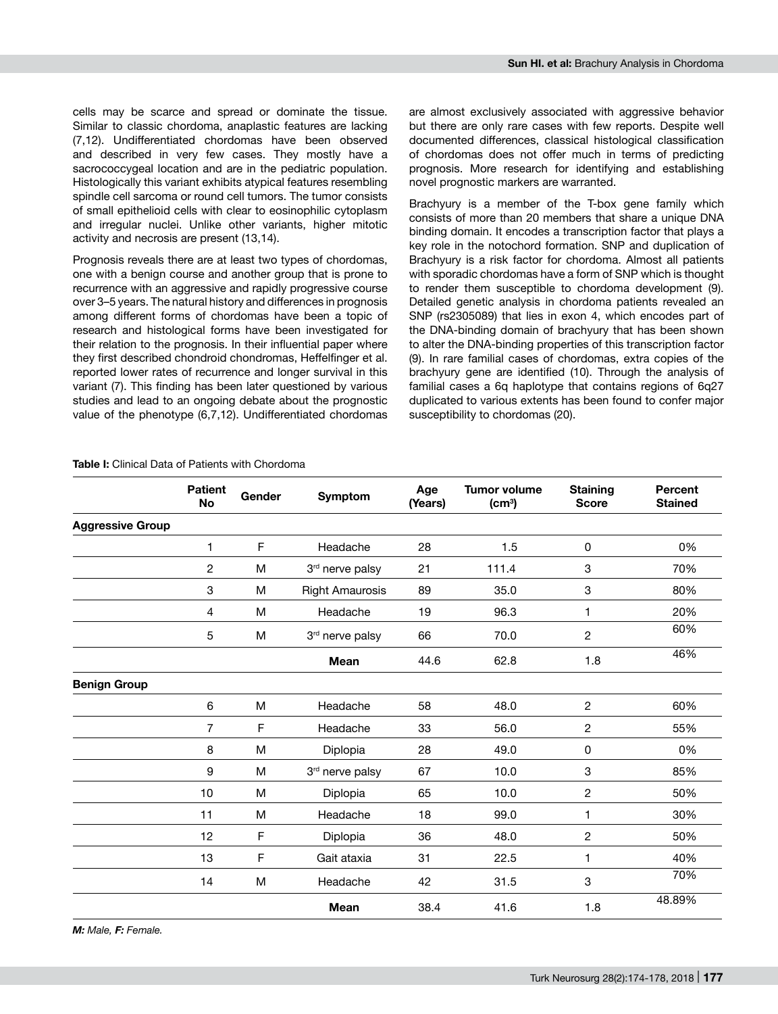cells may be scarce and spread or dominate the tissue. Similar to classic chordoma, anaplastic features are lacking (7,12). Undifferentiated chordomas have been observed and described in very few cases. They mostly have a sacrococcygeal location and are in the pediatric population. Histologically this variant exhibits atypical features resembling spindle cell sarcoma or round cell tumors. The tumor consists of small epithelioid cells with clear to eosinophilic cytoplasm and irregular nuclei. Unlike other variants, higher mitotic activity and necrosis are present (13,14).

Prognosis reveals there are at least two types of chordomas, one with a benign course and another group that is prone to recurrence with an aggressive and rapidly progressive course over 3–5 years. The natural history and differences in prognosis among different forms of chordomas have been a topic of research and histological forms have been investigated for their relation to the prognosis. In their influential paper where they first described chondroid chondromas, Heffelfinger et al. reported lower rates of recurrence and longer survival in this variant (7). This finding has been later questioned by various studies and lead to an ongoing debate about the prognostic value of the phenotype (6,7,12). Undifferentiated chordomas are almost exclusively associated with aggressive behavior but there are only rare cases with few reports. Despite well documented differences, classical histological classification of chordomas does not offer much in terms of predicting prognosis. More research for identifying and establishing novel prognostic markers are warranted.

Brachyury is a member of the T-box gene family which consists of more than 20 members that share a unique DNA binding domain. It encodes a transcription factor that plays a key role in the notochord formation. SNP and duplication of Brachyury is a risk factor for chordoma. Almost all patients with sporadic chordomas have a form of SNP which is thought to render them susceptible to chordoma development (9). Detailed genetic analysis in chordoma patients revealed an SNP (rs2305089) that lies in exon 4, which encodes part of the DNA-binding domain of brachyury that has been shown to alter the DNA-binding properties of this transcription factor (9). In rare familial cases of chordomas, extra copies of the brachyury gene are identified (10). Through the analysis of familial cases a 6q haplotype that contains regions of 6q27 duplicated to various extents has been found to confer major susceptibility to chordomas (20).

|                         | <b>Patient</b><br><b>No</b> | Gender | Symptom                | Age<br>(Years) | <b>Tumor volume</b><br>(cm <sup>3</sup> ) | <b>Staining</b><br><b>Score</b> | <b>Percent</b><br><b>Stained</b> |
|-------------------------|-----------------------------|--------|------------------------|----------------|-------------------------------------------|---------------------------------|----------------------------------|
| <b>Aggressive Group</b> |                             |        |                        |                |                                           |                                 |                                  |
|                         | $\mathbf{1}$                | F      | Headache               | 28             | 1.5                                       | 0                               | 0%                               |
|                         | $\overline{c}$              | M      | 3rd nerve palsy        | 21             | 111.4                                     | 3                               | 70%                              |
|                         | 3                           | M      | <b>Right Amaurosis</b> | 89             | 35.0                                      | 3                               | 80%                              |
|                         | 4                           | M      | Headache               | 19             | 96.3                                      | 1                               | 20%                              |
|                         | 5                           | M      | 3rd nerve palsy        | 66             | 70.0                                      | $\overline{c}$                  | 60%                              |
|                         |                             |        | <b>Mean</b>            | 44.6           | 62.8                                      | 1.8                             | 46%                              |
| <b>Benign Group</b>     |                             |        |                        |                |                                           |                                 |                                  |
|                         | 6                           | M      | Headache               | 58             | 48.0                                      | $\overline{c}$                  | 60%                              |
|                         | $\overline{7}$              | F      | Headache               | 33             | 56.0                                      | $\overline{c}$                  | 55%                              |
|                         | 8                           | M      | Diplopia               | 28             | 49.0                                      | $\mathsf 0$                     | 0%                               |
|                         | 9                           | M      | 3rd nerve palsy        | 67             | 10.0                                      | 3                               | 85%                              |
|                         | 10                          | M      | Diplopia               | 65             | 10.0                                      | 2                               | 50%                              |
|                         | 11                          | M      | Headache               | 18             | 99.0                                      | 1                               | 30%                              |
|                         | 12                          | F      | Diplopia               | 36             | 48.0                                      | $\overline{c}$                  | 50%                              |
|                         | 13                          | F      | Gait ataxia            | 31             | 22.5                                      | 1                               | 40%                              |
|                         | 14                          | M      | Headache               | 42             | 31.5                                      | 3                               | 70%                              |
|                         |                             |        | <b>Mean</b>            | 38.4           | 41.6                                      | 1.8                             | 48.89%                           |

**Table I:** Clinical Data of Patients with Chordoma

*M: Male, F: Female.*